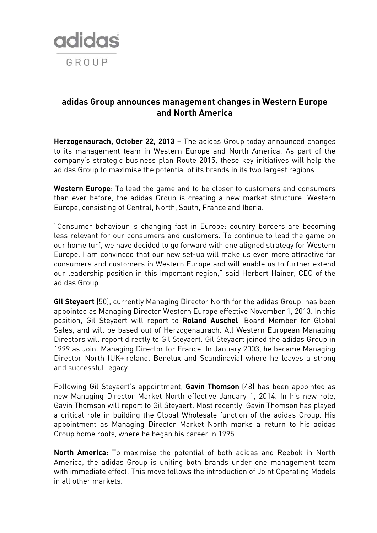

## **adidas Group announces management changes in Western Europe and North America**

**Herzogenaurach, October 22, 2013** – The adidas Group today announced changes to its management team in Western Europe and North America. As part of the company's strategic business plan Route 2015, these key initiatives will help the adidas Group to maximise the potential of its brands in its two largest regions.

**Western Europe**: To lead the game and to be closer to customers and consumers than ever before, the adidas Group is creating a new market structure: Western Europe, consisting of Central, North, South, France and Iberia.

"Consumer behaviour is changing fast in Europe: country borders are becoming less relevant for our consumers and customers. To continue to lead the game on our home turf, we have decided to go forward with one aligned strategy for Western Europe. I am convinced that our new set-up will make us even more attractive for consumers and customers in Western Europe and will enable us to further extend our leadership position in this important region," said Herbert Hainer, CEO of the adidas Group.

**Gil Steyaert** (50), currently Managing Director North for the adidas Group, has been appointed as Managing Director Western Europe effective November 1, 2013. In this position, Gil Steyaert will report to **Roland Auschel**, Board Member for Global Sales, and will be based out of Herzogenaurach. All Western European Managing Directors will report directly to Gil Steyaert. Gil Steyaert joined the adidas Group in 1999 as Joint Managing Director for France. In January 2003, he became Managing Director North (UK+Ireland, Benelux and Scandinavia) where he leaves a strong and successful legacy.

Following Gil Steyaert's appointment, **Gavin Thomson** (48) has been appointed as new Managing Director Market North effective January 1, 2014. In his new role, Gavin Thomson will report to Gil Steyaert. Most recently, Gavin Thomson has played a critical role in building the Global Wholesale function of the adidas Group. His appointment as Managing Director Market North marks a return to his adidas Group home roots, where he began his career in 1995.

**North America**: To maximise the potential of both adidas and Reebok in North America, the adidas Group is uniting both brands under one management team with immediate effect. This move follows the introduction of Joint Operating Models in all other markets.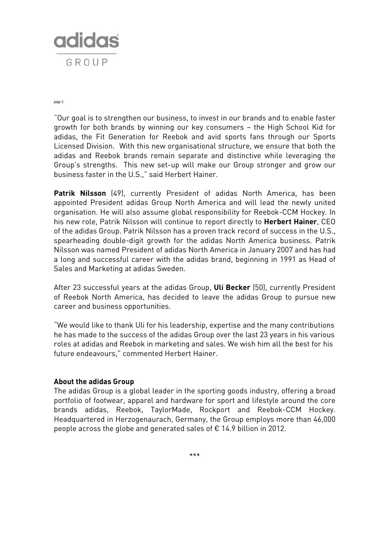

page 2

"Our goal is to strengthen our business, to invest in our brands and to enable faster growth for both brands by winning our key consumers – the High School Kid for adidas, the Fit Generation for Reebok and avid sports fans through our Sports Licensed Division. With this new organisational structure, we ensure that both the adidas and Reebok brands remain separate and distinctive while leveraging the Group's strengths. This new set-up will make our Group stronger and grow our business faster in the U.S.," said Herbert Hainer.

**Patrik Nilsson** (49), currently President of adidas North America, has been appointed President adidas Group North America and will lead the newly united organisation. He will also assume global responsibility for Reebok-CCM Hockey. In his new role, Patrik Nilsson will continue to report directly to **Herbert Hainer**, CEO of the adidas Group. Patrik Nilsson has a proven track record of success in the U.S., spearheading double-digit growth for the adidas North America business. Patrik Nilsson was named President of adidas North America in January 2007 and has had a long and successful career with the adidas brand, beginning in 1991 as Head of Sales and Marketing at adidas Sweden.

After 23 successful years at the adidas Group, **Uli Becker** (50), currently President of Reebok North America, has decided to leave the adidas Group to pursue new career and business opportunities.

"We would like to thank Uli for his leadership, expertise and the many contributions he has made to the success of the adidas Group over the last 23 years in his various roles at adidas and Reebok in marketing and sales. We wish him all the best for his future endeavours," commented Herbert Hainer.

## **About the adidas Group**

The adidas Group is a global leader in the sporting goods industry, offering a broad portfolio of footwear, apparel and hardware for sport and lifestyle around the core brands adidas, Reebok, TaylorMade, Rockport and Reebok-CCM Hockey. Headquartered in Herzogenaurach, Germany, the Group employs more than 46,000 people across the globe and generated sales of € 14.9 billion in 2012.

\*\*\*